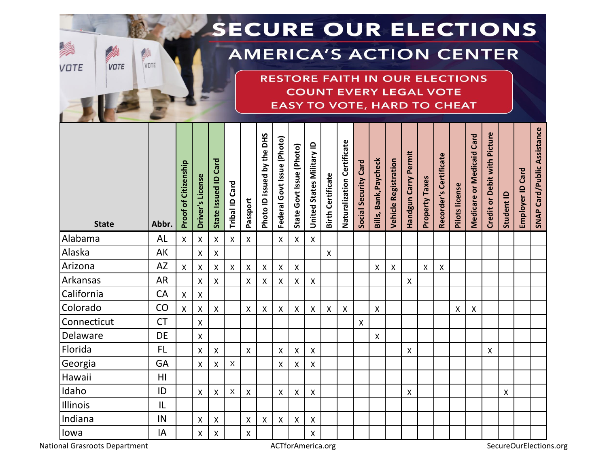## **SECURE OUR ELECTIONS**

## **AMERICA'S ACTION CENTER**

**RESTORE FAITH IN OUR ELECTIONS COUNT EVERY LEGAL VOTE EASY TO VOTE, HARD TO CHEAT** 

| <b>State</b> | Abbr.          | Proof of Citizenship | Driver's License          | State Issued ID Card      | Tribal ID Card | Passport     | Photo ID issued by the DHS | Federal Govt Issue (Photo) | State Govt Issue (Photo)  | <b>United States Military ID</b> | <b>Birth Certificate</b> | Naturalization Certificate | Social Security Card | Bills, Bank, Paycheck     | Vehicle Registration      | Handgun Carry Permit | <b>Property Taxes</b> | Recorder's Certificate | Pilots license | <b>Medicare or Medicaid Card</b> | Credit or Debit with Picture | Student ID | Card<br>Employer ID | SNAP Card/Public Assistance |
|--------------|----------------|----------------------|---------------------------|---------------------------|----------------|--------------|----------------------------|----------------------------|---------------------------|----------------------------------|--------------------------|----------------------------|----------------------|---------------------------|---------------------------|----------------------|-----------------------|------------------------|----------------|----------------------------------|------------------------------|------------|---------------------|-----------------------------|
| Alabama      | AL             | X                    | $\boldsymbol{\mathsf{X}}$ | $\mathsf{X}$              | $\mathsf{X}$   | X            |                            | X                          | X                         | X                                |                          |                            |                      |                           |                           |                      |                       |                        |                |                                  |                              |            |                     |                             |
| Alaska       | AK             |                      | $\pmb{\times}$            | $\pmb{\times}$            |                |              |                            |                            |                           |                                  | $\mathsf{x}$             |                            |                      |                           |                           |                      |                       |                        |                |                                  |                              |            |                     |                             |
| Arizona      | AZ             | $\mathsf{X}$         | $\boldsymbol{\mathsf{X}}$ | X                         | $\mathsf{X}$   | X            | $\boldsymbol{\mathsf{X}}$  | X                          | $\pmb{\times}$            |                                  |                          |                            |                      | $\boldsymbol{\mathsf{X}}$ | $\boldsymbol{\mathsf{X}}$ |                      | $\mathsf{X}$          | $\pmb{\times}$         |                |                                  |                              |            |                     |                             |
| Arkansas     | <b>AR</b>      |                      | X                         | X                         |                | X            | Χ                          | X                          | $\boldsymbol{\mathsf{X}}$ | X                                |                          |                            |                      |                           |                           | X                    |                       |                        |                |                                  |                              |            |                     |                             |
| California   | CA             | $\mathsf{X}$         | $\boldsymbol{\mathsf{X}}$ |                           |                |              |                            |                            |                           |                                  |                          |                            |                      |                           |                           |                      |                       |                        |                |                                  |                              |            |                     |                             |
| Colorado     | CO             | $\mathsf{x}$         | $\boldsymbol{\mathsf{X}}$ | $\boldsymbol{\mathsf{X}}$ |                | X            | Χ                          | $\mathsf{x}$               | X                         | $\pmb{\times}$                   | $\mathsf{x}$             | $\mathsf{x}$               |                      | $\boldsymbol{\mathsf{X}}$ |                           |                      |                       |                        | X              | $\pmb{\mathsf{X}}$               |                              |            |                     |                             |
| Connecticut  | <b>CT</b>      |                      | $\boldsymbol{\mathsf{X}}$ |                           |                |              |                            |                            |                           |                                  |                          |                            | $\mathsf{X}$         |                           |                           |                      |                       |                        |                |                                  |                              |            |                     |                             |
| Delaware     | DE             |                      | $\boldsymbol{\mathsf{X}}$ |                           |                |              |                            |                            |                           |                                  |                          |                            |                      | $\boldsymbol{\mathsf{X}}$ |                           |                      |                       |                        |                |                                  |                              |            |                     |                             |
| Florida      | <b>FL</b>      |                      | $\boldsymbol{\mathsf{X}}$ | $\pmb{\times}$            |                | $\mathsf{X}$ |                            | X                          | $\pmb{\mathsf{X}}$        | $\pmb{\times}$                   |                          |                            |                      |                           |                           | Χ                    |                       |                        |                |                                  | X                            |            |                     |                             |
| Georgia      | GA             |                      | $\boldsymbol{\mathsf{X}}$ | $\boldsymbol{\mathsf{X}}$ | $\mathsf X$    |              |                            | X                          | Χ                         | X                                |                          |                            |                      |                           |                           |                      |                       |                        |                |                                  |                              |            |                     |                             |
| Hawaii       | H <sub>l</sub> |                      |                           |                           |                |              |                            |                            |                           |                                  |                          |                            |                      |                           |                           |                      |                       |                        |                |                                  |                              |            |                     |                             |
| Idaho        | ID             |                      | $\boldsymbol{\mathsf{X}}$ | $\boldsymbol{\mathsf{X}}$ | X              | X            |                            | X                          | $\boldsymbol{\mathsf{X}}$ | X                                |                          |                            |                      |                           |                           | X                    |                       |                        |                |                                  |                              | X          |                     |                             |
| Illinois     | IL             |                      |                           |                           |                |              |                            |                            |                           |                                  |                          |                            |                      |                           |                           |                      |                       |                        |                |                                  |                              |            |                     |                             |
| Indiana      | IN             |                      | $\boldsymbol{\mathsf{X}}$ | $\boldsymbol{\mathsf{X}}$ |                | X            | Χ                          | X                          | $\boldsymbol{\mathsf{X}}$ | X                                |                          |                            |                      |                           |                           |                      |                       |                        |                |                                  |                              |            |                     |                             |
| lowa         | IA             |                      | $\boldsymbol{\mathsf{X}}$ | $\pmb{\times}$            |                | X            |                            |                            |                           | X                                |                          |                            |                      |                           |                           |                      |                       |                        |                |                                  |                              |            |                     |                             |

VOTE

VOTE

VOTE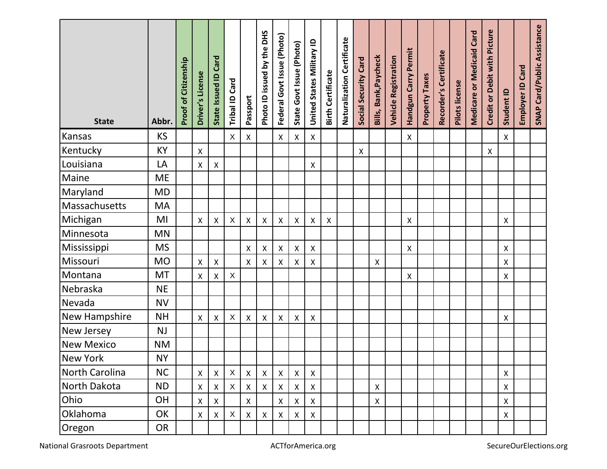| <b>State</b>      | Abbr.     | Proof of Citizenship | Driver's License | State Issued ID Card | Tribal ID Card            | Passport     | Photo ID issued by the DHS | Federal Govt Issue (Photo) | State Govt Issue (Photo) | United States Military ID | <b>Birth Certificate</b> | Naturalization Certificate | Social Security Card | Bills, Bank, Paycheck     | <b>Vehicle Registration</b> | Handgun Carry Permit | <b>Property Taxes</b> | Recorder's Certificate | Pilots license | Medicare or Medicaid Card | Credit or Debit with Picture | Student ID     | Employer ID Card | SNAP Card/Public Assistance |
|-------------------|-----------|----------------------|------------------|----------------------|---------------------------|--------------|----------------------------|----------------------------|--------------------------|---------------------------|--------------------------|----------------------------|----------------------|---------------------------|-----------------------------|----------------------|-----------------------|------------------------|----------------|---------------------------|------------------------------|----------------|------------------|-----------------------------|
| Kansas            | <b>KS</b> |                      |                  |                      | X                         | $\mathsf{X}$ |                            | X                          | X                        | X                         |                          |                            |                      |                           |                             | X                    |                       |                        |                |                           |                              | X              |                  |                             |
| Kentucky          | KY        |                      | X                |                      |                           |              |                            |                            |                          |                           |                          |                            | X                    |                           |                             |                      |                       |                        |                |                           | X                            |                |                  |                             |
| Louisiana         | LA        |                      | X                | X                    |                           |              |                            |                            |                          | X                         |                          |                            |                      |                           |                             |                      |                       |                        |                |                           |                              |                |                  |                             |
| Maine             | <b>ME</b> |                      |                  |                      |                           |              |                            |                            |                          |                           |                          |                            |                      |                           |                             |                      |                       |                        |                |                           |                              |                |                  |                             |
| Maryland          | <b>MD</b> |                      |                  |                      |                           |              |                            |                            |                          |                           |                          |                            |                      |                           |                             |                      |                       |                        |                |                           |                              |                |                  |                             |
| Massachusetts     | <b>MA</b> |                      |                  |                      |                           |              |                            |                            |                          |                           |                          |                            |                      |                           |                             |                      |                       |                        |                |                           |                              |                |                  |                             |
| Michigan          | MI        |                      | $\pmb{\times}$   | X                    | $\boldsymbol{\mathsf{X}}$ | X            | $\pmb{\times}$             | $\pmb{\times}$             | $\mathsf{X}$             | $\mathsf X$               | X                        |                            |                      |                           |                             | Χ                    |                       |                        |                |                           |                              | $\pmb{\times}$ |                  |                             |
| Minnesota         | <b>MN</b> |                      |                  |                      |                           |              |                            |                            |                          |                           |                          |                            |                      |                           |                             |                      |                       |                        |                |                           |                              |                |                  |                             |
| Mississippi       | <b>MS</b> |                      |                  |                      |                           | X            | $\pmb{\mathsf{X}}$         | $\mathsf X$                | $\pmb{\times}$           | $\pmb{\mathsf{X}}$        |                          |                            |                      |                           |                             | Χ                    |                       |                        |                |                           |                              | $\pmb{\times}$ |                  |                             |
| Missouri          | <b>MO</b> |                      | $\mathsf X$      | Χ                    |                           | X            | $\pmb{\times}$             | $\mathsf X$                | $\pmb{\times}$           | $\mathsf X$               |                          |                            |                      | $\boldsymbol{\mathsf{X}}$ |                             |                      |                       |                        |                |                           |                              | $\pmb{\times}$ |                  |                             |
| Montana           | <b>MT</b> |                      | $\pmb{\times}$   | X                    | X                         |              |                            |                            |                          |                           |                          |                            |                      |                           |                             | Χ                    |                       |                        |                |                           |                              | $\pmb{\times}$ |                  |                             |
| Nebraska          | <b>NE</b> |                      |                  |                      |                           |              |                            |                            |                          |                           |                          |                            |                      |                           |                             |                      |                       |                        |                |                           |                              |                |                  |                             |
| Nevada            | <b>NV</b> |                      |                  |                      |                           |              |                            |                            |                          |                           |                          |                            |                      |                           |                             |                      |                       |                        |                |                           |                              |                |                  |                             |
| New Hampshire     | <b>NH</b> |                      | Χ                | X                    | X                         | X            | $\pmb{\times}$             | X                          | $\mathsf{X}$             | X                         |                          |                            |                      |                           |                             |                      |                       |                        |                |                           |                              | X              |                  |                             |
| New Jersey        | <b>NJ</b> |                      |                  |                      |                           |              |                            |                            |                          |                           |                          |                            |                      |                           |                             |                      |                       |                        |                |                           |                              |                |                  |                             |
| <b>New Mexico</b> | <b>NM</b> |                      |                  |                      |                           |              |                            |                            |                          |                           |                          |                            |                      |                           |                             |                      |                       |                        |                |                           |                              |                |                  |                             |
| <b>New York</b>   | <b>NY</b> |                      |                  |                      |                           |              |                            |                            |                          |                           |                          |                            |                      |                           |                             |                      |                       |                        |                |                           |                              |                |                  |                             |
| North Carolina    | <b>NC</b> |                      | X                | X                    | X                         | $\mathsf{X}$ | $\boldsymbol{\mathsf{X}}$  | X                          | X                        | X                         |                          |                            |                      |                           |                             |                      |                       |                        |                |                           |                              | X              |                  |                             |
| North Dakota      | <b>ND</b> |                      | X                | X                    | $\boldsymbol{\mathsf{X}}$ | X            | $\pmb{\times}$             | X                          | X                        | $\mathsf{X}^-$            |                          |                            |                      | $\mathsf{X}$              |                             |                      |                       |                        |                |                           |                              | X              |                  |                             |
| Ohio              | OH        |                      | X                | X                    |                           | $\mathsf{X}$ |                            | X                          | X                        | $\mathsf{X}^-$            |                          |                            |                      | $\pmb{\times}$            |                             |                      |                       |                        |                |                           |                              | $\pmb{\times}$ |                  |                             |
| Oklahoma          | OK        |                      | $\pmb{\times}$   | X                    | $\mathsf X$               | $\mathsf{X}$ | $\pmb{\mathsf{X}}$         | X                          | $\pmb{\mathsf{X}}$       | X                         |                          |                            |                      |                           |                             |                      |                       |                        |                |                           |                              | $\mathsf{X}$   |                  |                             |
| Oregon            | <b>OR</b> |                      |                  |                      |                           |              |                            |                            |                          |                           |                          |                            |                      |                           |                             |                      |                       |                        |                |                           |                              |                |                  |                             |